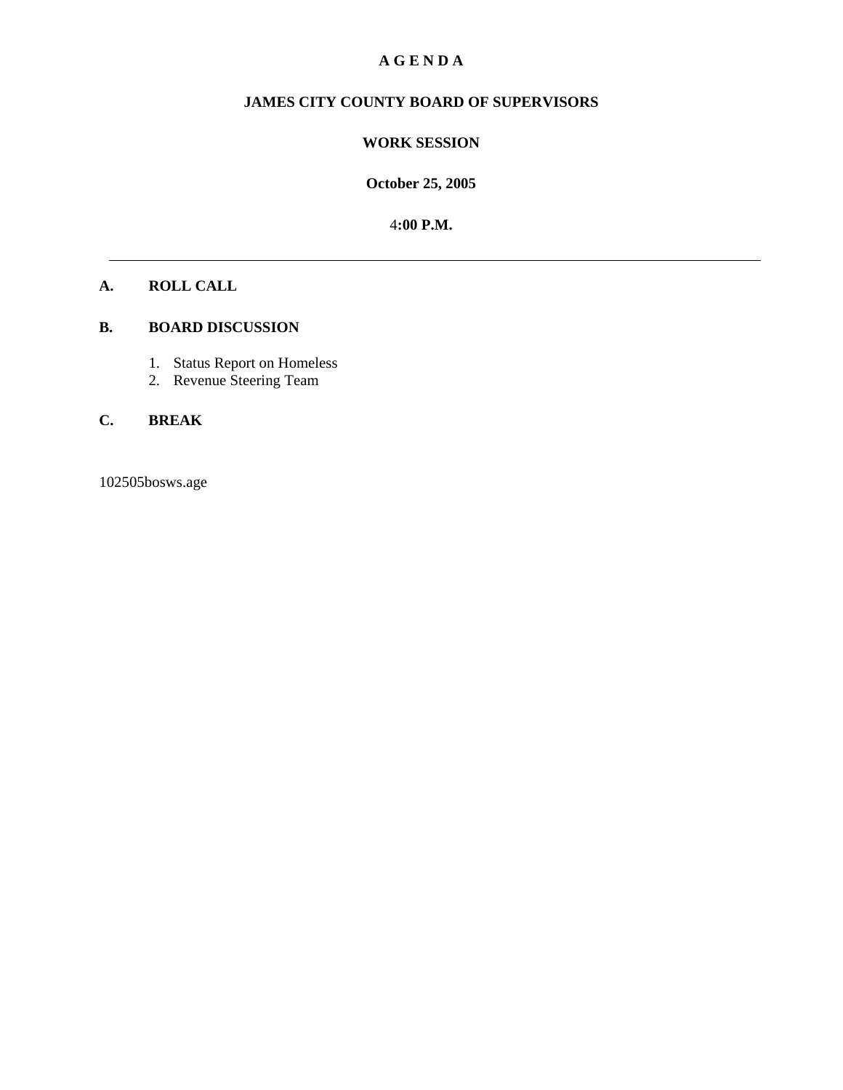## **A G E N D A**

# **JAMES CITY COUNTY BOARD OF SUPERVISORS**

#### **WORK SESSION**

**October 25, 2005**

4**:00 P.M.**

#### **A. ROLL CALL**

### **B. BOARD DISCUSSION**

- 1. Status Report on Homeless
- 2. Revenue Steering Team

## **C. BREAK**

102505bosws.age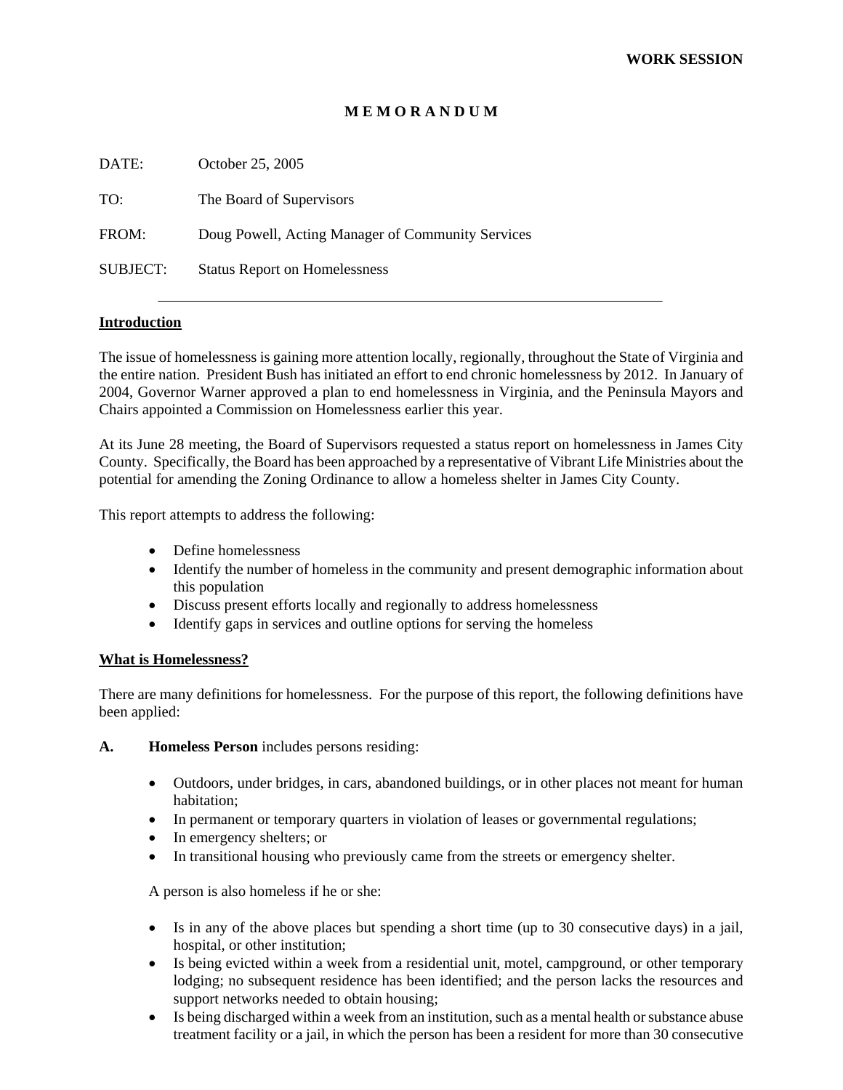#### **M E M O R A N D U M**

| DATE:           | October 25, 2005                                  |
|-----------------|---------------------------------------------------|
| TO:             | The Board of Supervisors                          |
| FROM:           | Doug Powell, Acting Manager of Community Services |
| <b>SUBJECT:</b> | <b>Status Report on Homelessness</b>              |
|                 |                                                   |

#### **Introduction**

The issue of homelessness is gaining more attention locally, regionally, throughout the State of Virginia and the entire nation. President Bush has initiated an effort to end chronic homelessness by 2012. In January of 2004, Governor Warner approved a plan to end homelessness in Virginia, and the Peninsula Mayors and Chairs appointed a Commission on Homelessness earlier this year.

At its June 28 meeting, the Board of Supervisors requested a status report on homelessness in James City County. Specifically, the Board has been approached by a representative of Vibrant Life Ministries about the potential for amending the Zoning Ordinance to allow a homeless shelter in James City County.

This report attempts to address the following:

- Define homelessness
- Identify the number of homeless in the community and present demographic information about this population
- Discuss present efforts locally and regionally to address homelessness
- Identify gaps in services and outline options for serving the homeless

#### **What is Homelessness?**

There are many definitions for homelessness. For the purpose of this report, the following definitions have been applied:

- **A. Homeless Person** includes persons residing:
	- Outdoors, under bridges, in cars, abandoned buildings, or in other places not meant for human habitation;
	- In permanent or temporary quarters in violation of leases or governmental regulations;
	- In emergency shelters; or
	- In transitional housing who previously came from the streets or emergency shelter.

A person is also homeless if he or she:

- Is in any of the above places but spending a short time (up to 30 consecutive days) in a jail, hospital, or other institution;
- Is being evicted within a week from a residential unit, motel, campground, or other temporary lodging; no subsequent residence has been identified; and the person lacks the resources and support networks needed to obtain housing;
- Is being discharged within a week from an institution, such as a mental health or substance abuse treatment facility or a jail, in which the person has been a resident for more than 30 consecutive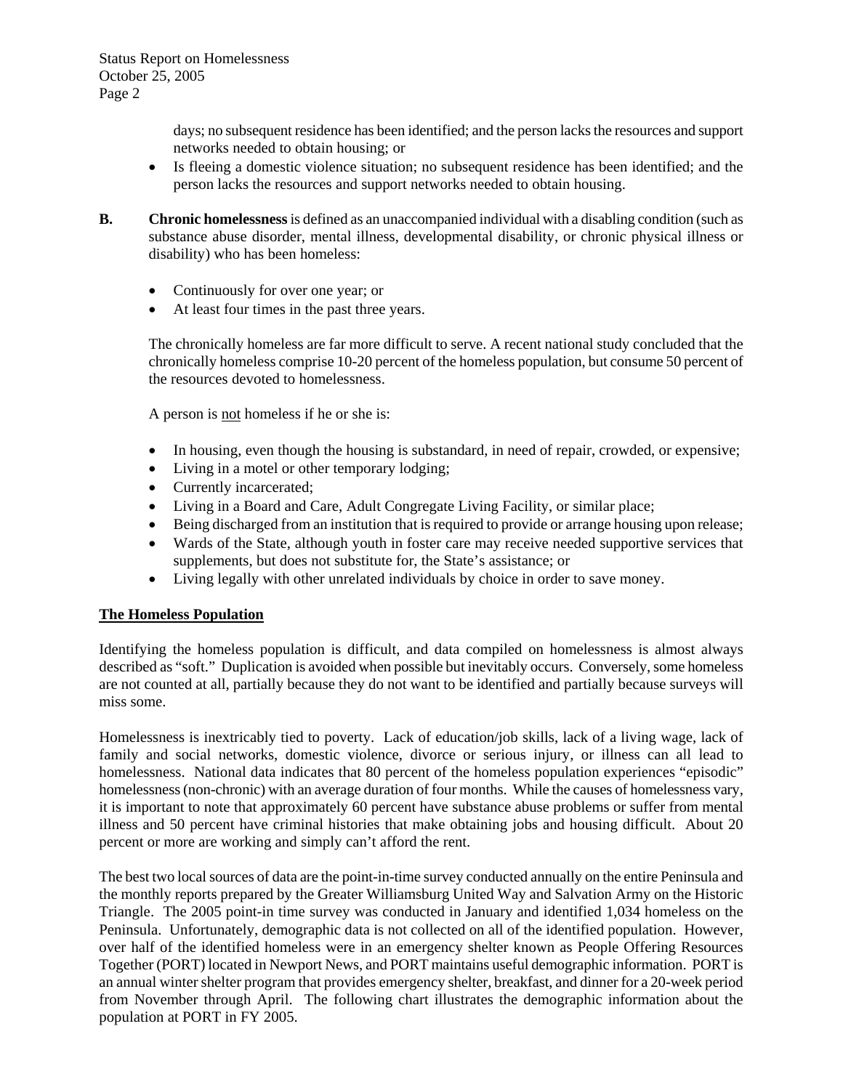days; no subsequent residence has been identified; and the person lacks the resources and support networks needed to obtain housing; or

- Is fleeing a domestic violence situation; no subsequent residence has been identified; and the person lacks the resources and support networks needed to obtain housing.
- **B. Chronic homelessness** is defined as an unaccompanied individual with a disabling condition (such as substance abuse disorder, mental illness, developmental disability, or chronic physical illness or disability) who has been homeless:
	- Continuously for over one year; or
	- At least four times in the past three years.

The chronically homeless are far more difficult to serve. A recent national study concluded that the chronically homeless comprise 10-20 percent of the homeless population, but consume 50 percent of the resources devoted to homelessness.

A person is not homeless if he or she is:

- In housing, even though the housing is substandard, in need of repair, crowded, or expensive;
- Living in a motel or other temporary lodging;
- Currently incarcerated;
- Living in a Board and Care, Adult Congregate Living Facility, or similar place;
- Being discharged from an institution that is required to provide or arrange housing upon release;
- Wards of the State, although youth in foster care may receive needed supportive services that supplements, but does not substitute for, the State's assistance; or
- Living legally with other unrelated individuals by choice in order to save money.

#### **The Homeless Population**

Identifying the homeless population is difficult, and data compiled on homelessness is almost always described as "soft." Duplication is avoided when possible but inevitably occurs. Conversely, some homeless are not counted at all, partially because they do not want to be identified and partially because surveys will miss some.

Homelessness is inextricably tied to poverty. Lack of education/job skills, lack of a living wage, lack of family and social networks, domestic violence, divorce or serious injury, or illness can all lead to homelessness. National data indicates that 80 percent of the homeless population experiences "episodic" homelessness (non-chronic) with an average duration of four months. While the causes of homelessness vary, it is important to note that approximately 60 percent have substance abuse problems or suffer from mental illness and 50 percent have criminal histories that make obtaining jobs and housing difficult. About 20 percent or more are working and simply can't afford the rent.

The best two local sources of data are the point-in-time survey conducted annually on the entire Peninsula and the monthly reports prepared by the Greater Williamsburg United Way and Salvation Army on the Historic Triangle. The 2005 point-in time survey was conducted in January and identified 1,034 homeless on the Peninsula. Unfortunately, demographic data is not collected on all of the identified population. However, over half of the identified homeless were in an emergency shelter known as People Offering Resources Together (PORT) located in Newport News, and PORT maintains useful demographic information. PORT is an annual winter shelter program that provides emergency shelter, breakfast, and dinner for a 20-week period from November through April. The following chart illustrates the demographic information about the population at PORT in FY 2005.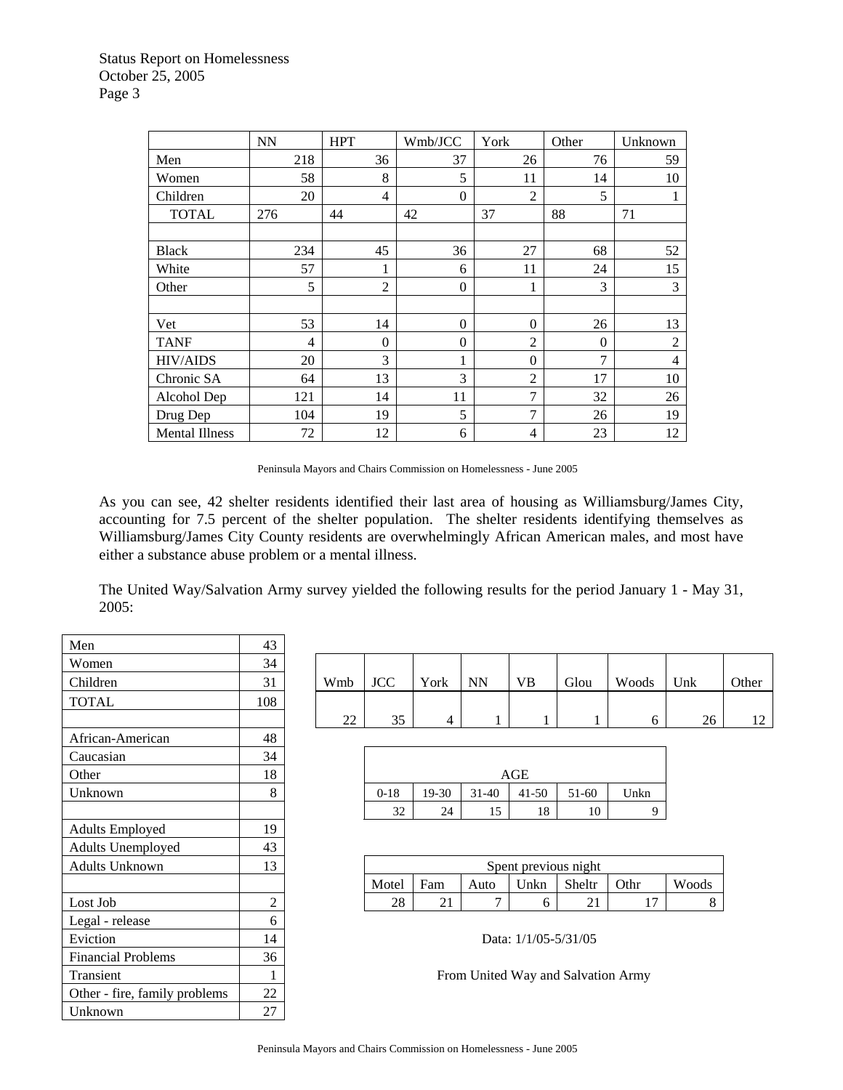|                       | <b>NN</b> | <b>HPT</b>     | Wmb/JCC        | York           | Other    | Unknown        |
|-----------------------|-----------|----------------|----------------|----------------|----------|----------------|
| Men                   | 218       | 36             | 37             | 26             | 76       | 59             |
| Women                 | 58        | 8              | 5              | 11             | 14       | 10             |
| Children              | 20        | 4              | $\overline{0}$ | $\overline{2}$ | 5        |                |
| <b>TOTAL</b>          | 276       | 44             | 42             | 37             | 88       | 71             |
|                       |           |                |                |                |          |                |
| <b>Black</b>          | 234       | 45             | 36             | 27             | 68       | 52             |
| White                 | 57        | 1              | 6              | 11             | 24       | 15             |
| Other                 | 5         | $\overline{2}$ | $\theta$       | 1              | 3        | 3              |
|                       |           |                |                |                |          |                |
| Vet                   | 53        | 14             | $\Omega$       | $\Omega$       | 26       | 13             |
| <b>TANF</b>           | 4         | $\theta$       | $\theta$       | $\overline{c}$ | $\Omega$ | $\overline{2}$ |
| <b>HIV/AIDS</b>       | 20        | 3              | 1              | $\theta$       | 7        | 4              |
| Chronic SA            | 64        | 13             | 3              | $\overline{c}$ | 17       | 10             |
| Alcohol Dep           | 121       | 14             | 11             | $\overline{7}$ | 32       | 26             |
| Drug Dep              | 104       | 19             | 5              | $\overline{7}$ | 26       | 19             |
| <b>Mental Illness</b> | 72        | 12             | 6              | $\overline{4}$ | 23       | 12             |

Peninsula Mayors and Chairs Commission on Homelessness - June 2005

As you can see, 42 shelter residents identified their last area of housing as Williamsburg/James City, accounting for 7.5 percent of the shelter population. The shelter residents identifying themselves as Williamsburg/James City County residents are overwhelmingly African American males, and most have either a substance abuse problem or a mental illness.

The United Way/Salvation Army survey yielded the following results for the period January 1 - May 31, 2005:

| Men                           | 43  |     |            |                |                 |          |
|-------------------------------|-----|-----|------------|----------------|-----------------|----------|
| Women                         | 34  |     |            |                |                 |          |
| Children                      | 31  | Wmb | <b>JCC</b> | York           | <b>NN</b>       | VE       |
| <b>TOTAL</b>                  | 108 |     |            |                |                 |          |
|                               |     | 22  | 35         | $\overline{4}$ | 1               |          |
| African-American              | 48  |     |            |                |                 |          |
| Caucasian                     | 34  |     |            |                |                 |          |
| Other                         | 18  |     |            |                |                 | AGE      |
| Unknown                       | 8   |     | $0 - 18$   | 19-30          | $31 - 40$       | 41       |
|                               |     |     | 32         | 24             | 15              |          |
| <b>Adults Employed</b>        | 19  |     |            |                |                 |          |
| Adults Unemployed             | 43  |     |            |                |                 |          |
| <b>Adults Unknown</b>         | 13  |     |            |                |                 | Spent pr |
|                               |     |     | Motel      | Fam            | Auto            | Un       |
| Lost Job                      | 2   |     | 28         | 21             | 7               |          |
| Legal - release               | 6   |     |            |                |                 |          |
| Eviction                      | 14  |     |            |                | Data: $1/1$     |          |
| <b>Financial Problems</b>     | 36  |     |            |                |                 |          |
| Transient                     | 1   |     |            |                | From United Way |          |
| Other - fire, family problems | 22  |     |            |                |                 |          |
| Unknown                       | 27  |     |            |                |                 |          |

| .                  | $\sim$ |                     |            |      |           |           |      |       |     |                |
|--------------------|--------|---------------------|------------|------|-----------|-----------|------|-------|-----|----------------|
| Women              | 34     |                     |            |      |           |           |      |       |     |                |
| Children           | 31     | Wmb                 | <b>JCC</b> | York | <b>NN</b> | <b>VB</b> | Glou | Woods | Unk | Other          |
| <b>TOTAL</b>       | 108    |                     |            |      |           |           |      |       |     |                |
|                    |        | $\mathcal{D}$<br>∠∠ | 35         |      |           |           |      | o     | 26  | 1 <sub>0</sub> |
| $\cdots$<br>$\sim$ | $\sim$ |                     |            |      |           |           |      |       |     |                |

| Caucasian | $\sim$<br>34 |                     |       |           |           |         |      |
|-----------|--------------|---------------------|-------|-----------|-----------|---------|------|
| Other     | 18           |                     |       |           | AGE       |         |      |
| Unknown   |              | $0 - 18$            | 19-30 | $31 - 40$ | $41 - 50$ | $51-60$ | Unkn |
|           |              | $2^{\prime}$<br>ے ر | 24    | 5<br>⊥J   | 18        | 10      |      |

| Adults Unknown | $\sqrt{2}$<br>⊥ | Spent previous night |       |                       |      |                            |           |                |       |  |
|----------------|-----------------|----------------------|-------|-----------------------|------|----------------------------|-----------|----------------|-------|--|
|                |                 |                      | Motel | $\blacksquare$<br>Fam | Auto | $\mathbf{v}_{\text{Inkn}}$ | Sheltr    | Othr           | Woods |  |
| Lost Job       | -               |                      | 28    | $\sim$<br>∠⊥          |      |                            | ⌒ 1<br>∠⊥ | $\overline{ }$ |       |  |
|                |                 |                      |       |                       |      |                            |           |                |       |  |

Data: 1/1/05-5/31/05

From United Way and Salvation Army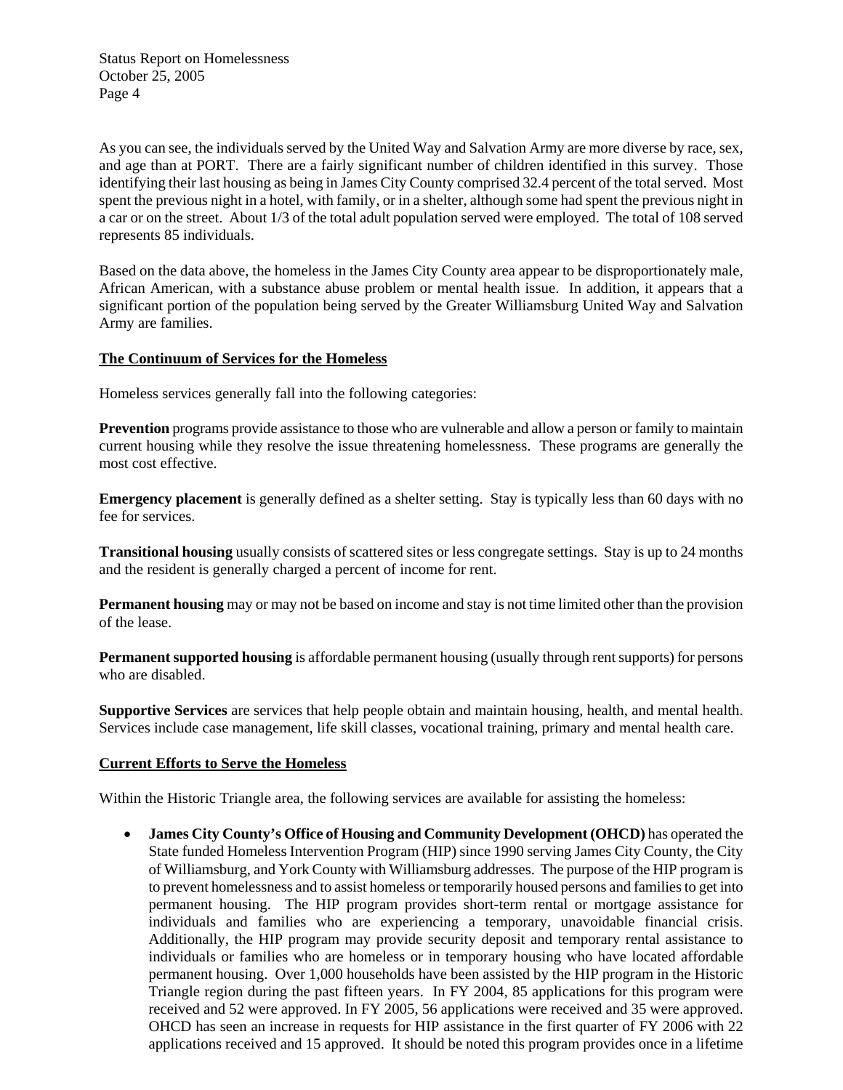As you can see, the individuals served by the United Way and Salvation Army are more diverse by race, sex, and age than at PORT. There are a fairly significant number of children identified in this survey. Those identifying their last housing as being in James City County comprised 32.4 percent of the total served. Most spent the previous night in a hotel, with family, or in a shelter, although some had spent the previous night in a car or on the street. About 1/3 of the total adult population served were employed. The total of 108 served represents 85 individuals.

Based on the data above, the homeless in the James City County area appear to be disproportionately male, African American, with a substance abuse problem or mental health issue. In addition, it appears that a significant portion of the population being served by the Greater Williamsburg United Way and Salvation Army are families.

#### **The Continuum of Services for the Homeless**

Homeless services generally fall into the following categories:

**Prevention** programs provide assistance to those who are vulnerable and allow a person or family to maintain current housing while they resolve the issue threatening homelessness. These programs are generally the most cost effective.

**Emergency placement** is generally defined as a shelter setting. Stay is typically less than 60 days with no fee for services.

**Transitional housing** usually consists of scattered sites or less congregate settings. Stay is up to 24 months and the resident is generally charged a percent of income for rent.

**Permanent housing** may or may not be based on income and stay is not time limited other than the provision of the lease.

**Permanent supported housing** is affordable permanent housing (usually through rent supports) for persons who are disabled.

**Supportive Services** are services that help people obtain and maintain housing, health, and mental health. Services include case management, life skill classes, vocational training, primary and mental health care.

#### **Current Efforts to Serve the Homeless**

Within the Historic Triangle area, the following services are available for assisting the homeless:

• **James City County's Office of Housing and Community Development (OHCD)** has operated the State funded Homeless Intervention Program (HIP) since 1990 serving James City County, the City of Williamsburg, and York County with Williamsburg addresses. The purpose of the HIP program is to prevent homelessness and to assist homeless or temporarily housed persons and families to get into permanent housing. The HIP program provides short-term rental or mortgage assistance for individuals and families who are experiencing a temporary, unavoidable financial crisis. Additionally, the HIP program may provide security deposit and temporary rental assistance to individuals or families who are homeless or in temporary housing who have located affordable permanent housing. Over 1,000 households have been assisted by the HIP program in the Historic Triangle region during the past fifteen years. In FY 2004, 85 applications for this program were received and 52 were approved. In FY 2005, 56 applications were received and 35 were approved. OHCD has seen an increase in requests for HIP assistance in the first quarter of FY 2006 with 22 applications received and 15 approved. It should be noted this program provides once in a lifetime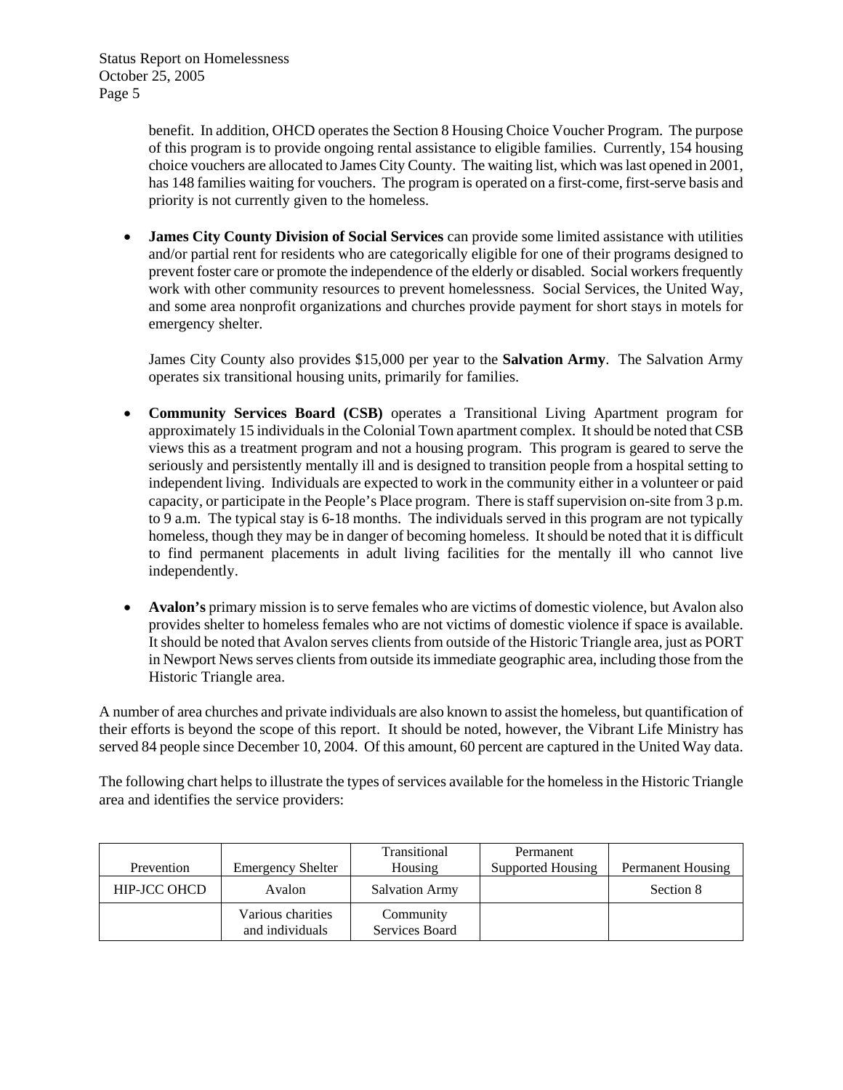> benefit. In addition, OHCD operates the Section 8 Housing Choice Voucher Program. The purpose of this program is to provide ongoing rental assistance to eligible families. Currently, 154 housing choice vouchers are allocated to James City County. The waiting list, which was last opened in 2001, has 148 families waiting for vouchers. The program is operated on a first-come, first-serve basis and priority is not currently given to the homeless.

• **James City County Division of Social Services** can provide some limited assistance with utilities and/or partial rent for residents who are categorically eligible for one of their programs designed to prevent foster care or promote the independence of the elderly or disabled. Social workers frequently work with other community resources to prevent homelessness. Social Services, the United Way, and some area nonprofit organizations and churches provide payment for short stays in motels for emergency shelter.

James City County also provides \$15,000 per year to the **Salvation Army**. The Salvation Army operates six transitional housing units, primarily for families.

- **Community Services Board (CSB)** operates a Transitional Living Apartment program for approximately 15 individuals in the Colonial Town apartment complex. It should be noted that CSB views this as a treatment program and not a housing program. This program is geared to serve the seriously and persistently mentally ill and is designed to transition people from a hospital setting to independent living. Individuals are expected to work in the community either in a volunteer or paid capacity, or participate in the People's Place program. There is staff supervision on-site from 3 p.m. to 9 a.m. The typical stay is 6-18 months. The individuals served in this program are not typically homeless, though they may be in danger of becoming homeless. It should be noted that it is difficult to find permanent placements in adult living facilities for the mentally ill who cannot live independently.
- **Avalon's** primary mission is to serve females who are victims of domestic violence, but Avalon also provides shelter to homeless females who are not victims of domestic violence if space is available. It should be noted that Avalon serves clients from outside of the Historic Triangle area, just as PORT in Newport News serves clients from outside its immediate geographic area, including those from the Historic Triangle area.

A number of area churches and private individuals are also known to assist the homeless, but quantification of their efforts is beyond the scope of this report. It should be noted, however, the Vibrant Life Ministry has served 84 people since December 10, 2004. Of this amount, 60 percent are captured in the United Way data.

The following chart helps to illustrate the types of services available for the homeless in the Historic Triangle area and identifies the service providers:

| Prevention          | <b>Emergency Shelter</b>             | Transitional<br>Housing     | Permanent<br>Supported Housing | <b>Permanent Housing</b> |
|---------------------|--------------------------------------|-----------------------------|--------------------------------|--------------------------|
| <b>HIP-JCC OHCD</b> | Avalon                               | <b>Salvation Army</b>       |                                | Section 8                |
|                     | Various charities<br>and individuals | Community<br>Services Board |                                |                          |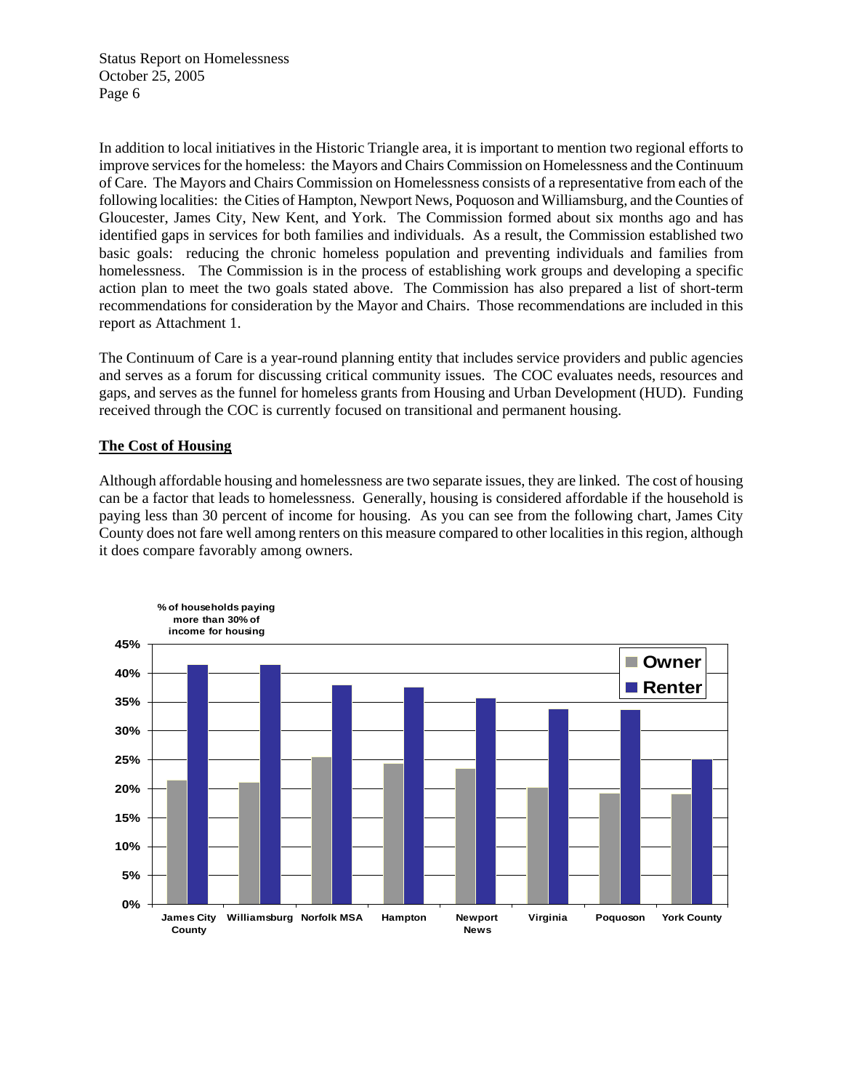In addition to local initiatives in the Historic Triangle area, it is important to mention two regional efforts to improve services for the homeless: the Mayors and Chairs Commission on Homelessness and the Continuum of Care. The Mayors and Chairs Commission on Homelessness consists of a representative from each of the following localities: the Cities of Hampton, Newport News, Poquoson and Williamsburg, and the Counties of Gloucester, James City, New Kent, and York. The Commission formed about six months ago and has identified gaps in services for both families and individuals. As a result, the Commission established two basic goals: reducing the chronic homeless population and preventing individuals and families from homelessness. The Commission is in the process of establishing work groups and developing a specific action plan to meet the two goals stated above. The Commission has also prepared a list of short-term recommendations for consideration by the Mayor and Chairs. Those recommendations are included in this report as Attachment 1.

The Continuum of Care is a year-round planning entity that includes service providers and public agencies and serves as a forum for discussing critical community issues. The COC evaluates needs, resources and gaps, and serves as the funnel for homeless grants from Housing and Urban Development (HUD). Funding received through the COC is currently focused on transitional and permanent housing.

#### **The Cost of Housing**

Although affordable housing and homelessness are two separate issues, they are linked. The cost of housing can be a factor that leads to homelessness. Generally, housing is considered affordable if the household is paying less than 30 percent of income for housing. As you can see from the following chart, James City County does not fare well among renters on this measure compared to other localities in this region, although it does compare favorably among owners.

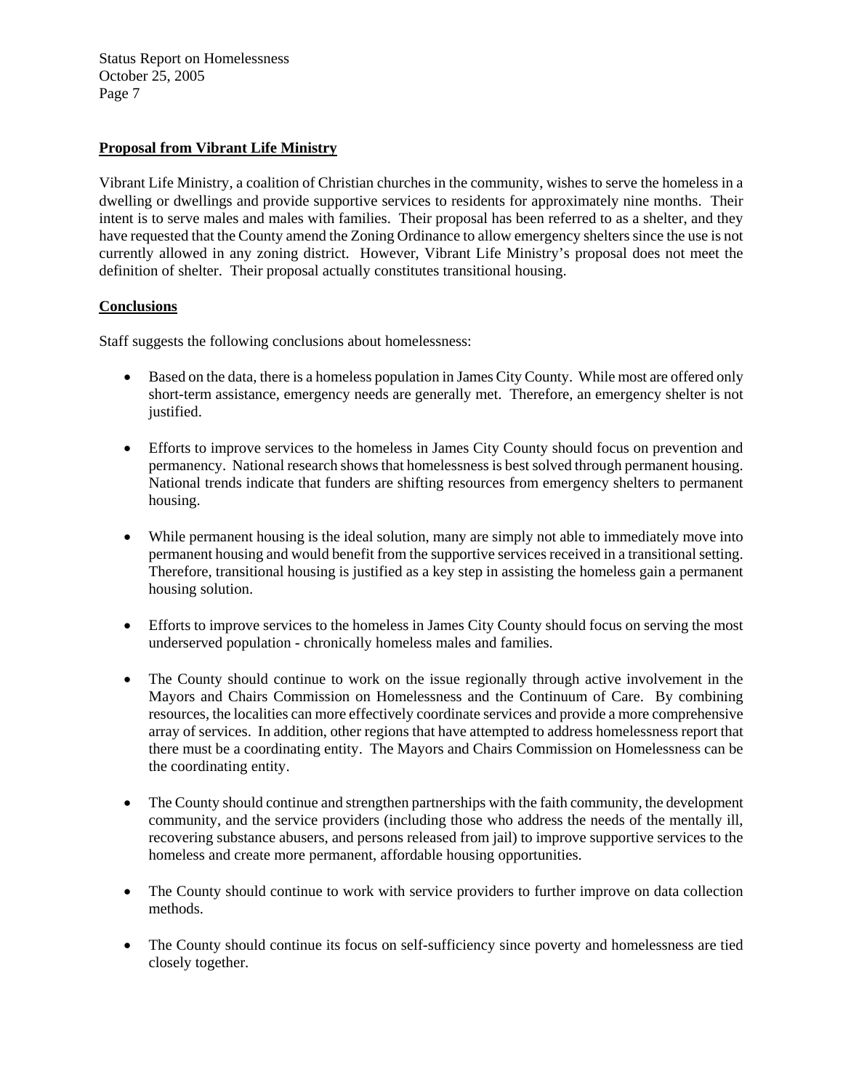### **Proposal from Vibrant Life Ministry**

Vibrant Life Ministry, a coalition of Christian churches in the community, wishes to serve the homeless in a dwelling or dwellings and provide supportive services to residents for approximately nine months. Their intent is to serve males and males with families. Their proposal has been referred to as a shelter, and they have requested that the County amend the Zoning Ordinance to allow emergency shelters since the use is not currently allowed in any zoning district. However, Vibrant Life Ministry's proposal does not meet the definition of shelter. Their proposal actually constitutes transitional housing.

### **Conclusions**

Staff suggests the following conclusions about homelessness:

- Based on the data, there is a homeless population in James City County. While most are offered only short-term assistance, emergency needs are generally met. Therefore, an emergency shelter is not justified.
- Efforts to improve services to the homeless in James City County should focus on prevention and permanency. National research shows that homelessness is best solved through permanent housing. National trends indicate that funders are shifting resources from emergency shelters to permanent housing.
- While permanent housing is the ideal solution, many are simply not able to immediately move into permanent housing and would benefit from the supportive services received in a transitional setting. Therefore, transitional housing is justified as a key step in assisting the homeless gain a permanent housing solution.
- Efforts to improve services to the homeless in James City County should focus on serving the most underserved population - chronically homeless males and families.
- The County should continue to work on the issue regionally through active involvement in the Mayors and Chairs Commission on Homelessness and the Continuum of Care. By combining resources, the localities can more effectively coordinate services and provide a more comprehensive array of services. In addition, other regions that have attempted to address homelessness report that there must be a coordinating entity. The Mayors and Chairs Commission on Homelessness can be the coordinating entity.
- The County should continue and strengthen partnerships with the faith community, the development community, and the service providers (including those who address the needs of the mentally ill, recovering substance abusers, and persons released from jail) to improve supportive services to the homeless and create more permanent, affordable housing opportunities.
- The County should continue to work with service providers to further improve on data collection methods.
- The County should continue its focus on self-sufficiency since poverty and homelessness are tied closely together.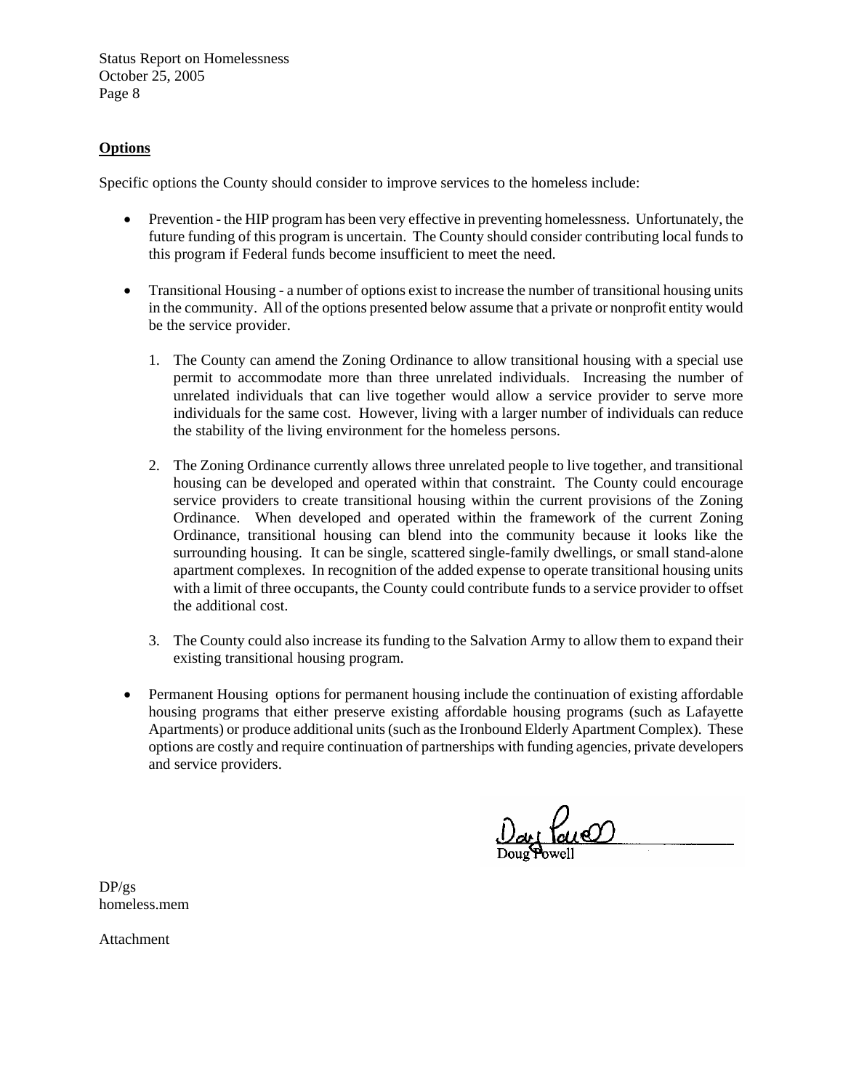### **Options**

Specific options the County should consider to improve services to the homeless include:

- Prevention the HIP program has been very effective in preventing homelessness. Unfortunately, the future funding of this program is uncertain. The County should consider contributing local funds to this program if Federal funds become insufficient to meet the need.
- Transitional Housing a number of options exist to increase the number of transitional housing units in the community. All of the options presented below assume that a private or nonprofit entity would be the service provider.
	- 1. The County can amend the Zoning Ordinance to allow transitional housing with a special use permit to accommodate more than three unrelated individuals. Increasing the number of unrelated individuals that can live together would allow a service provider to serve more individuals for the same cost. However, living with a larger number of individuals can reduce the stability of the living environment for the homeless persons.
	- 2. The Zoning Ordinance currently allows three unrelated people to live together, and transitional housing can be developed and operated within that constraint. The County could encourage service providers to create transitional housing within the current provisions of the Zoning Ordinance. When developed and operated within the framework of the current Zoning Ordinance, transitional housing can blend into the community because it looks like the surrounding housing. It can be single, scattered single-family dwellings, or small stand-alone apartment complexes. In recognition of the added expense to operate transitional housing units with a limit of three occupants, the County could contribute funds to a service provider to offset the additional cost.
	- 3. The County could also increase its funding to the Salvation Army to allow them to expand their existing transitional housing program.
- Permanent Housing options for permanent housing include the continuation of existing affordable housing programs that either preserve existing affordable housing programs (such as Lafayette Apartments) or produce additional units (such as the Ironbound Elderly Apartment Complex). These options are costly and require continuation of partnerships with funding agencies, private developers and service providers.

 $0$  at  $\frac{\log 1}{\log \log 1}$ 

DP/gs homeless.mem

Attachment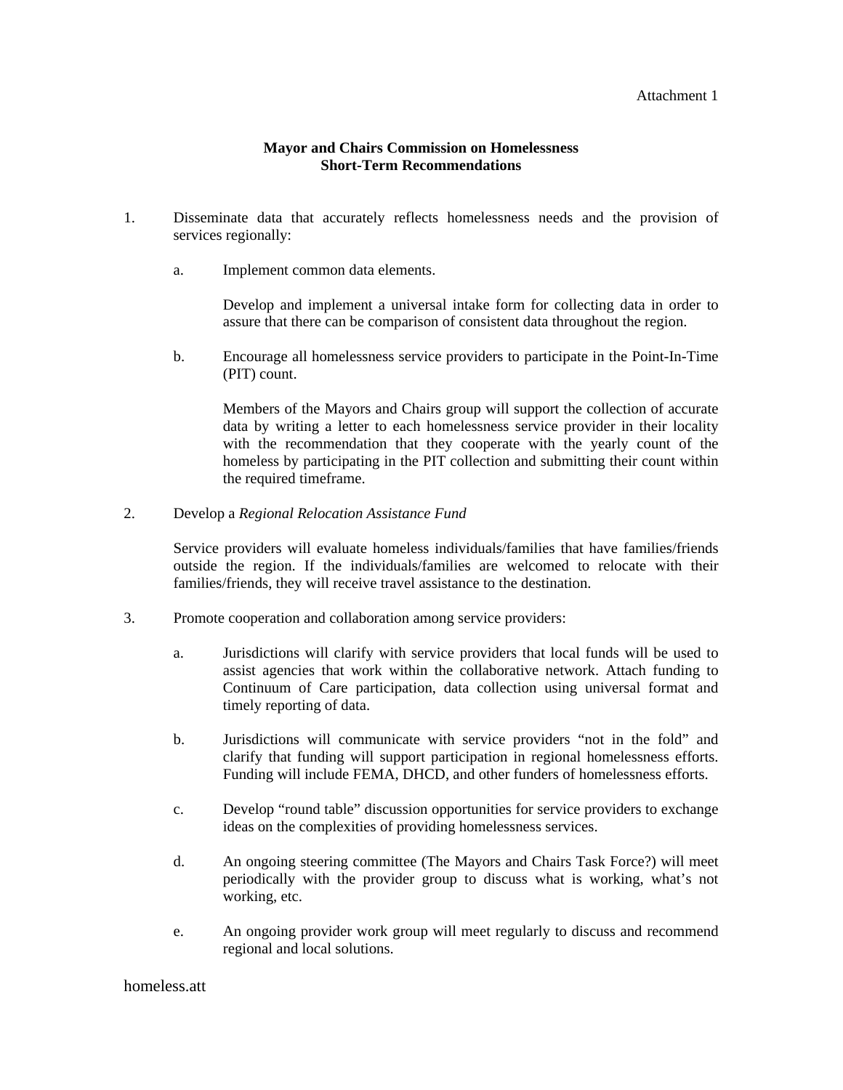#### Attachment 1

#### **Mayor and Chairs Commission on Homelessness Short-Term Recommendations**

- 1. Disseminate data that accurately reflects homelessness needs and the provision of services regionally:
	- a. Implement common data elements.

Develop and implement a universal intake form for collecting data in order to assure that there can be comparison of consistent data throughout the region.

b. Encourage all homelessness service providers to participate in the Point-In-Time (PIT) count.

Members of the Mayors and Chairs group will support the collection of accurate data by writing a letter to each homelessness service provider in their locality with the recommendation that they cooperate with the yearly count of the homeless by participating in the PIT collection and submitting their count within the required timeframe.

2. Develop a *Regional Relocation Assistance Fund*

Service providers will evaluate homeless individuals/families that have families/friends outside the region. If the individuals/families are welcomed to relocate with their families/friends, they will receive travel assistance to the destination.

- 3. Promote cooperation and collaboration among service providers:
	- a. Jurisdictions will clarify with service providers that local funds will be used to assist agencies that work within the collaborative network. Attach funding to Continuum of Care participation, data collection using universal format and timely reporting of data.
	- b. Jurisdictions will communicate with service providers "not in the fold" and clarify that funding will support participation in regional homelessness efforts. Funding will include FEMA, DHCD, and other funders of homelessness efforts.
	- c. Develop "round table" discussion opportunities for service providers to exchange ideas on the complexities of providing homelessness services.
	- d. An ongoing steering committee (The Mayors and Chairs Task Force?) will meet periodically with the provider group to discuss what is working, what's not working, etc.
	- e. An ongoing provider work group will meet regularly to discuss and recommend regional and local solutions.

#### homeless.att